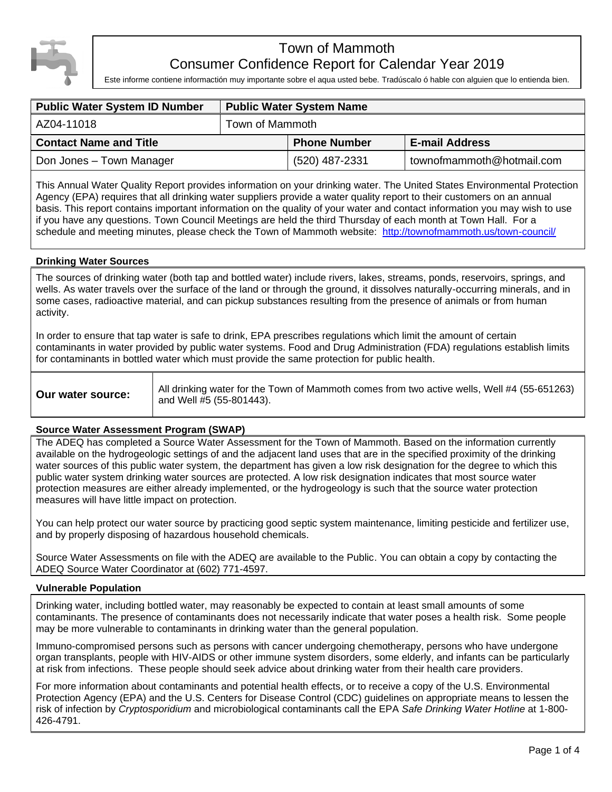

# Town of Mammoth Consumer Confidence Report for Calendar Year 2019

Este informe contiene informactión muy importante sobre el aqua usted bebe. Tradúscalo ó hable con alguien que lo entienda bien.

| <b>Public Water System ID Number</b> | <b>Public Water System Name</b> |                     |                           |  |  |
|--------------------------------------|---------------------------------|---------------------|---------------------------|--|--|
| AZ04-11018                           | Town of Mammoth                 |                     |                           |  |  |
| <b>Contact Name and Title</b>        |                                 | <b>Phone Number</b> | <b>E-mail Address</b>     |  |  |
| Don Jones - Town Manager             |                                 | (520) 487-2331      | townofmammoth@hotmail.com |  |  |

This Annual Water Quality Report provides information on your drinking water. The United States Environmental Protection Agency (EPA) requires that all drinking water suppliers provide a water quality report to their customers on an annual basis. This report contains important information on the quality of your water and contact information you may wish to use if you have any questions. Town Council Meetings are held the third Thursday of each month at Town Hall. For a schedule and meeting minutes, please check the Town of Mammoth website: <http://townofmammoth.us/town-council/>

### **Drinking Water Sources**

The sources of drinking water (both tap and bottled water) include rivers, lakes, streams, ponds, reservoirs, springs, and wells. As water travels over the surface of the land or through the ground, it dissolves naturally-occurring minerals, and in some cases, radioactive material, and can pickup substances resulting from the presence of animals or from human activity.

In order to ensure that tap water is safe to drink, EPA prescribes regulations which limit the amount of certain contaminants in water provided by public water systems. Food and Drug Administration (FDA) regulations establish limits for contaminants in bottled water which must provide the same protection for public health.

| Our water source: | All drinking water for the Town of Mammoth comes from two active wells, Well #4 (55-651263)<br>and Well #5 (55-801443). |
|-------------------|-------------------------------------------------------------------------------------------------------------------------|
|-------------------|-------------------------------------------------------------------------------------------------------------------------|

# **Source Water Assessment Program (SWAP)**

The ADEQ has completed a Source Water Assessment for the Town of Mammoth. Based on the information currently available on the hydrogeologic settings of and the adjacent land uses that are in the specified proximity of the drinking water sources of this public water system, the department has given a low risk designation for the degree to which this public water system drinking water sources are protected. A low risk designation indicates that most source water protection measures are either already implemented, or the hydrogeology is such that the source water protection measures will have little impact on protection.

You can help protect our water source by practicing good septic system maintenance, limiting pesticide and fertilizer use, and by properly disposing of hazardous household chemicals.

Source Water Assessments on file with the ADEQ are available to the Public. You can obtain a copy by contacting the ADEQ Source Water Coordinator at (602) 771-4597.

### **Vulnerable Population**

Drinking water, including bottled water, may reasonably be expected to contain at least small amounts of some contaminants. The presence of contaminants does not necessarily indicate that water poses a health risk. Some people may be more vulnerable to contaminants in drinking water than the general population.

Immuno-compromised persons such as persons with cancer undergoing chemotherapy, persons who have undergone organ transplants, people with HIV-AIDS or other immune system disorders, some elderly, and infants can be particularly at risk from infections. These people should seek advice about drinking water from their health care providers.

For more information about contaminants and potential health effects, or to receive a copy of the U.S. Environmental Protection Agency (EPA) and the U.S. Centers for Disease Control (CDC) guidelines on appropriate means to lessen the risk of infection by *Cryptosporidium* and microbiological contaminants call the EPA *Safe Drinking Water Hotline* at 1-800- 426-4791.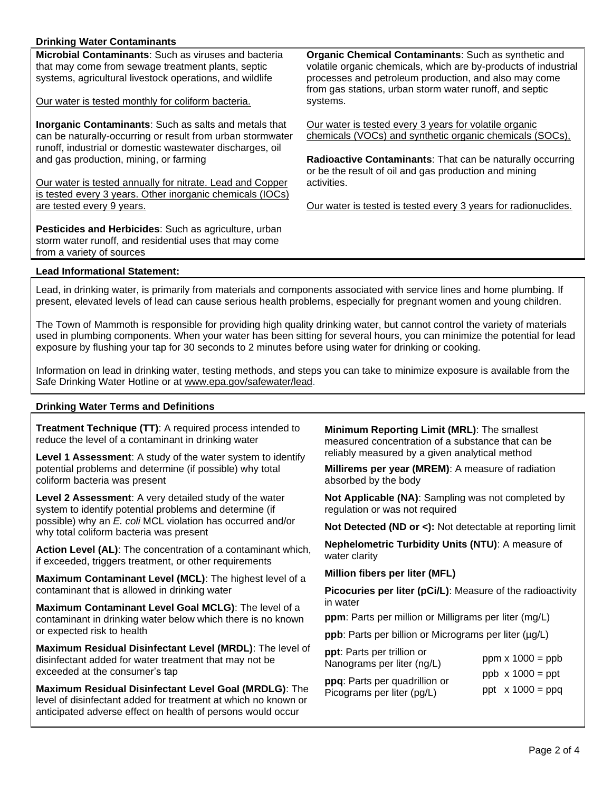# **Drinking Water Contaminants**

**Microbial Contaminants**: Such as viruses and bacteria that may come from sewage treatment plants, septic systems, agricultural livestock operations, and wildlife

Our water is tested monthly for coliform bacteria.

**Inorganic Contaminants**: Such as salts and metals that can be naturally-occurring or result from urban stormwater runoff, industrial or domestic wastewater discharges, oil and gas production, mining, or farming

Our water is tested annually for nitrate. Lead and Copper is tested every 3 years. Other inorganic chemicals (IOCs) are tested every 9 years.

**Pesticides and Herbicides**: Such as agriculture, urban storm water runoff, and residential uses that may come from a variety of sources

**Organic Chemical Contaminants**: Such as synthetic and volatile organic chemicals, which are by-products of industrial processes and petroleum production, and also may come from gas stations, urban storm water runoff, and septic systems.

Our water is tested every 3 years for volatile organic chemicals (VOCs) and synthetic organic chemicals (SOCs),

**Radioactive Contaminants**: That can be naturally occurring or be the result of oil and gas production and mining activities.

Our water is tested is tested every 3 years for radionuclides.

#### **Lead Informational Statement:**

Lead, in drinking water, is primarily from materials and components associated with service lines and home plumbing. If present, elevated levels of lead can cause serious health problems, especially for pregnant women and young children.

The Town of Mammoth is responsible for providing high quality drinking water, but cannot control the variety of materials used in plumbing components. When your water has been sitting for several hours, you can minimize the potential for lead exposure by flushing your tap for 30 seconds to 2 minutes before using water for drinking or cooking.

Information on lead in drinking water, testing methods, and steps you can take to minimize exposure is available from the Safe Drinking Water Hotline or at [www.epa.gov/safewater/lead.](http://www.epa.gov/safewater/lead)

### **Drinking Water Terms and Definitions**

**Treatment Technique (TT)**: A required process intended to reduce the level of a contaminant in drinking water

**Level 1 Assessment**: A study of the water system to identify potential problems and determine (if possible) why total coliform bacteria was present

**Level 2 Assessment**: A very detailed study of the water system to identify potential problems and determine (if possible) why an *E. coli* MCL violation has occurred and/or why total coliform bacteria was present

**Action Level (AL)**: The concentration of a contaminant which, if exceeded, triggers treatment, or other requirements

**Maximum Contaminant Level (MCL)**: The highest level of a contaminant that is allowed in drinking water

**Maximum Contaminant Level Goal MCLG)**: The level of a contaminant in drinking water below which there is no known or expected risk to health

**Maximum Residual Disinfectant Level (MRDL)**: The level of disinfectant added for water treatment that may not be exceeded at the consumer's tap

**Maximum Residual Disinfectant Level Goal (MRDLG)**: The level of disinfectant added for treatment at which no known or anticipated adverse effect on health of persons would occur

**Minimum Reporting Limit (MRL)**: The smallest measured concentration of a substance that can be reliably measured by a given analytical method

**Millirems per year (MREM)**: A measure of radiation absorbed by the body

**Not Applicable (NA)**: Sampling was not completed by regulation or was not required

**Not Detected (ND or <):** Not detectable at reporting limit

**Nephelometric Turbidity Units (NTU)**: A measure of water clarity

**Million fibers per liter (MFL)**

**Picocuries per liter (pCi/L)**: Measure of the radioactivity in water

**ppm**: Parts per million or Milligrams per liter (mg/L)

**ppb**: Parts per billion or Micrograms per liter ( $\mu$ g/L)

| ppt: Parts per trillion or<br>Nanograms per liter (ng/L) | $ppm \times 1000 = ppb$ |
|----------------------------------------------------------|-------------------------|
| ppq: Parts per quadrillion or                            | $ppb \times 1000 = ppt$ |
| Picograms per liter (pg/L)                               | ppt $x 1000 = ppq$      |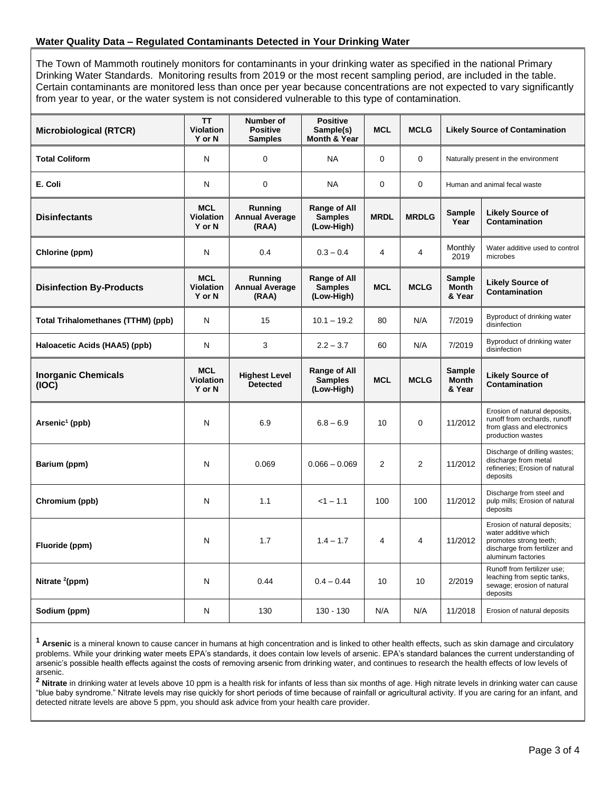## **Water Quality Data – Regulated Contaminants Detected in Your Drinking Water**

The Town of Mammoth routinely monitors for contaminants in your drinking water as specified in the national Primary Drinking Water Standards. Monitoring results from 2019 or the most recent sampling period, are included in the table. Certain contaminants are monitored less than once per year because concentrations are not expected to vary significantly from year to year, or the water system is not considered vulnerable to this type of contamination.

| <b>Microbiological (RTCR)</b>       | <b>TT</b><br><b>Violation</b><br>Y or N  | Number of<br><b>Positive</b><br><b>Samples</b> | <b>Positive</b><br>Sample(s)<br><b>Month &amp; Year</b> | <b>MCL</b>     | <b>MCLG</b>              | <b>Likely Source of Contamination</b>   |                                                                                                                                       |
|-------------------------------------|------------------------------------------|------------------------------------------------|---------------------------------------------------------|----------------|--------------------------|-----------------------------------------|---------------------------------------------------------------------------------------------------------------------------------------|
| <b>Total Coliform</b>               | N                                        | $\mathbf 0$                                    | <b>NA</b>                                               | $\mathbf 0$    | 0                        | Naturally present in the environment    |                                                                                                                                       |
| E. Coli                             | N                                        | $\mathbf 0$                                    | <b>NA</b>                                               | $\mathbf 0$    | 0                        | Human and animal fecal waste            |                                                                                                                                       |
| <b>Disinfectants</b>                | <b>MCL</b><br><b>Violation</b><br>Y or N | Running<br><b>Annual Average</b><br>(RAA)      | Range of All<br><b>Samples</b><br>(Low-High)            | <b>MRDL</b>    | <b>MRDLG</b>             | Sample<br>Year                          | <b>Likely Source of</b><br>Contamination                                                                                              |
| Chlorine (ppm)                      | N                                        | 0.4                                            | $0.3 - 0.4$                                             | $\overline{4}$ | 4                        | Monthly<br>2019                         | Water additive used to control<br>microbes                                                                                            |
| <b>Disinfection By-Products</b>     | <b>MCL</b><br><b>Violation</b><br>Y or N | Running<br><b>Annual Average</b><br>(RAA)      | Range of All<br><b>Samples</b><br>(Low-High)            | <b>MCL</b>     | <b>MCLG</b>              | <b>Sample</b><br><b>Month</b><br>& Year | <b>Likely Source of</b><br>Contamination                                                                                              |
| Total Trihalomethanes (TTHM) (ppb)  | N                                        | 15                                             | $10.1 - 19.2$                                           | 80             | N/A                      | 7/2019                                  | Byproduct of drinking water<br>disinfection                                                                                           |
| Haloacetic Acids (HAA5) (ppb)       | N                                        | 3                                              | $2.2 - 3.7$                                             | 60             | N/A                      | 7/2019                                  | Byproduct of drinking water<br>disinfection                                                                                           |
| <b>Inorganic Chemicals</b><br>(IOC) | <b>MCL</b><br><b>Violation</b><br>Y or N | <b>Highest Level</b><br><b>Detected</b>        | Range of All<br><b>Samples</b><br>(Low-High)            | <b>MCL</b>     | <b>MCLG</b>              | Sample<br><b>Month</b><br>& Year        | <b>Likely Source of</b><br>Contamination                                                                                              |
| Arsenic <sup>1</sup> (ppb)          | N                                        | 6.9                                            | $6.8 - 6.9$                                             | 10             | $\Omega$                 | 11/2012                                 | Erosion of natural deposits,<br>runoff from orchards, runoff<br>from glass and electronics<br>production wastes                       |
| Barium (ppm)                        | N                                        | 0.069                                          | $0.066 - 0.069$                                         | 2              | 2                        | 11/2012                                 | Discharge of drilling wastes;<br>discharge from metal<br>refineries; Erosion of natural<br>deposits                                   |
| Chromium (ppb)                      | N                                        | 1.1                                            | $<1 - 1.1$                                              | 100            | 100                      | 11/2012                                 | Discharge from steel and<br>pulp mills; Erosion of natural<br>deposits                                                                |
| Fluoride (ppm)                      | N                                        | 1.7                                            | $1.4 - 1.7$                                             | $\overline{4}$ | $\overline{\mathcal{L}}$ | 11/2012                                 | Erosion of natural deposits;<br>water additive which<br>promotes strong teeth;<br>discharge from fertilizer and<br>aluminum factories |
| Nitrate <sup>2</sup> (ppm)          | N                                        | 0.44                                           | $0.4 - 0.44$                                            | 10             | 10                       | 2/2019                                  | Runoff from fertilizer use;<br>leaching from septic tanks,<br>sewage; erosion of natural<br>deposits                                  |
| Sodium (ppm)                        | N                                        | 130                                            | $130 - 130$                                             | N/A            | N/A                      | 11/2018                                 | Erosion of natural deposits                                                                                                           |

**<sup>1</sup> Arsenic** is a mineral known to cause cancer in humans at high concentration and is linked to other health effects, such as skin damage and circulatory problems. While your drinking water meets EPA's standards, it does contain low levels of arsenic. EPA's standard balances the current understanding of arsenic's possible health effects against the costs of removing arsenic from drinking water, and continues to research the health effects of low levels of arsenic.

**<sup>2</sup> Nitrate** in drinking water at levels above 10 ppm is a health risk for infants of less than six months of age. High nitrate levels in drinking water can cause "blue baby syndrome." Nitrate levels may rise quickly for short periods of time because of rainfall or agricultural activity. If you are caring for an infant, and detected nitrate levels are above 5 ppm, you should ask advice from your health care provider.